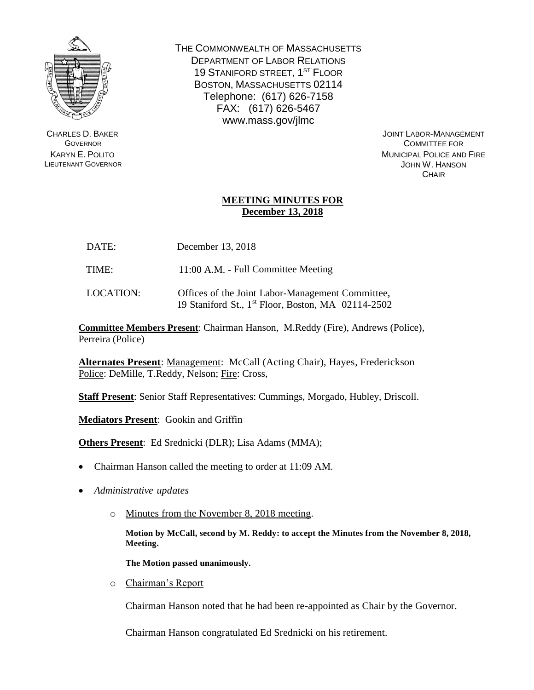

CHARLES D. BAKER **GOVERNOR** KARYN E. POLITO LIEUTENANT GOVERNOR THE COMMONWEALTH OF MASSACHUSETTS DEPARTMENT OF LABOR RELATIONS 19 STANIFORD STREET, 1<sup>ST</sup> FLOOR BOSTON, MASSACHUSETTS 02114 Telephone: (617) 626-7158 FAX: (617) 626-5467 www.mass.gov/jlmc

> JOINT LABOR-MANAGEMENT COMMITTEE FOR MUNICIPAL POLICE AND FIRE JOHN W. HANSON **CHAIR**

# **MEETING MINUTES FOR December 13, 2018**

- DATE: December 13, 2018
- TIME: 11:00 A.M. Full Committee Meeting
- LOCATION: Offices of the Joint Labor-Management Committee, 19 Staniford St., 1 st Floor, Boston, MA 02114-2502

**Committee Members Present**: Chairman Hanson, M.Reddy (Fire), Andrews (Police), Perreira (Police)

**Alternates Present**: Management: McCall (Acting Chair), Hayes, Frederickson Police: DeMille, T.Reddy, Nelson; Fire: Cross,

**Staff Present**: Senior Staff Representatives: Cummings, Morgado, Hubley, Driscoll.

**Mediators Present**: Gookin and Griffin

**Others Present**: Ed Srednicki (DLR); Lisa Adams (MMA);

- Chairman Hanson called the meeting to order at 11:09 AM.
- *Administrative updates*
	- o Minutes from the November 8, 2018 meeting.

**Motion by McCall, second by M. Reddy: to accept the Minutes from the November 8, 2018, Meeting.** 

**The Motion passed unanimously.**

o Chairman's Report

Chairman Hanson noted that he had been re-appointed as Chair by the Governor.

Chairman Hanson congratulated Ed Srednicki on his retirement.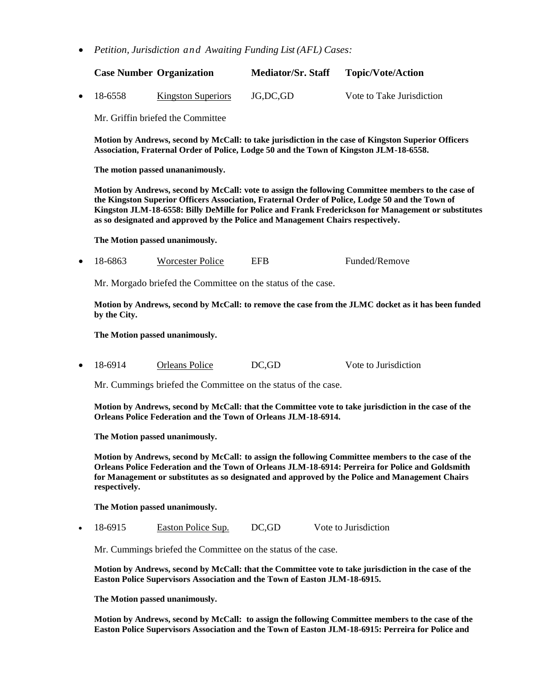*Petition, Jurisdiction and Awaiting Funding List (AFL) Cases:*

|                   | <b>Case Number Organization</b> | <b>Mediator/Sr. Staff</b> | <b>Topic/Vote/Action</b>  |
|-------------------|---------------------------------|---------------------------|---------------------------|
| $\bullet$ 18-6558 | <b>Kingston Superiors</b>       | JG.DC.GD                  | Vote to Take Jurisdiction |

Mr. Griffin briefed the Committee

**Motion by Andrews, second by McCall: to take jurisdiction in the case of Kingston Superior Officers Association, Fraternal Order of Police, Lodge 50 and the Town of Kingston JLM-18-6558.**

**The motion passed unananimously.** 

**Motion by Andrews, second by McCall: vote to assign the following Committee members to the case of the Kingston Superior Officers Association, Fraternal Order of Police, Lodge 50 and the Town of Kingston JLM-18-6558: Billy DeMille for Police and Frank Frederickson for Management or substitutes as so designated and approved by the Police and Management Chairs respectively.**

**The Motion passed unanimously.**

18-6863 Worcester Police EFB Funded/Remove

Mr. Morgado briefed the Committee on the status of the case.

**Motion by Andrews, second by McCall: to remove the case from the JLMC docket as it has been funded by the City.**

**The Motion passed unanimously.**

• 18-6914 Orleans Police DC,GD Vote to Jurisdiction

Mr. Cummings briefed the Committee on the status of the case.

**Motion by Andrews, second by McCall: that the Committee vote to take jurisdiction in the case of the Orleans Police Federation and the Town of Orleans JLM-18-6914.**

**The Motion passed unanimously.**

**Motion by Andrews, second by McCall: to assign the following Committee members to the case of the Orleans Police Federation and the Town of Orleans JLM-18-6914: Perreira for Police and Goldsmith for Management or substitutes as so designated and approved by the Police and Management Chairs respectively.**

**The Motion passed unanimously.**

18-6915 Easton Police Sup. DC,GD Vote to Jurisdiction

Mr. Cummings briefed the Committee on the status of the case.

**Motion by Andrews, second by McCall: that the Committee vote to take jurisdiction in the case of the Easton Police Supervisors Association and the Town of Easton JLM-18-6915.**

**The Motion passed unanimously.**

**Motion by Andrews, second by McCall: to assign the following Committee members to the case of the Easton Police Supervisors Association and the Town of Easton JLM-18-6915: Perreira for Police and**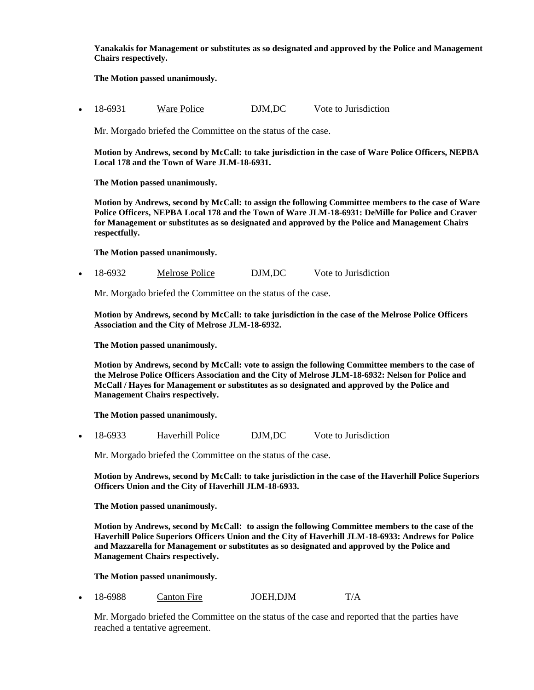**Yanakakis for Management or substitutes as so designated and approved by the Police and Management Chairs respectively.**

**The Motion passed unanimously.**

• 18-6931 Ware Police DJM, DC Vote to Jurisdiction

Mr. Morgado briefed the Committee on the status of the case.

**Motion by Andrews, second by McCall: to take jurisdiction in the case of Ware Police Officers, NEPBA Local 178 and the Town of Ware JLM-18-6931.**

**The Motion passed unanimously.**

**Motion by Andrews, second by McCall: to assign the following Committee members to the case of Ware Police Officers, NEPBA Local 178 and the Town of Ware JLM-18-6931: DeMille for Police and Craver for Management or substitutes as so designated and approved by the Police and Management Chairs respectfully.**

**The Motion passed unanimously.**

18-6932 Melrose Police DJM,DC Vote to Jurisdiction

Mr. Morgado briefed the Committee on the status of the case.

**Motion by Andrews, second by McCall: to take jurisdiction in the case of the Melrose Police Officers Association and the City of Melrose JLM-18-6932.**

**The Motion passed unanimously.**

**Motion by Andrews, second by McCall: vote to assign the following Committee members to the case of the Melrose Police Officers Association and the City of Melrose JLM-18-6932: Nelson for Police and McCall / Hayes for Management or substitutes as so designated and approved by the Police and Management Chairs respectively.**

**The Motion passed unanimously.**

18-6933 Haverhill Police DJM,DC Vote to Jurisdiction

Mr. Morgado briefed the Committee on the status of the case.

**Motion by Andrews, second by McCall: to take jurisdiction in the case of the Haverhill Police Superiors Officers Union and the City of Haverhill JLM-18-6933.**

**The Motion passed unanimously.**

**Motion by Andrews, second by McCall: to assign the following Committee members to the case of the Haverhill Police Superiors Officers Union and the City of Haverhill JLM-18-6933: Andrews for Police and Mazzarella for Management or substitutes as so designated and approved by the Police and Management Chairs respectively.**

**The Motion passed unanimously.**

18-6988 Canton Fire JOEH,DJM T/A

Mr. Morgado briefed the Committee on the status of the case and reported that the parties have reached a tentative agreement.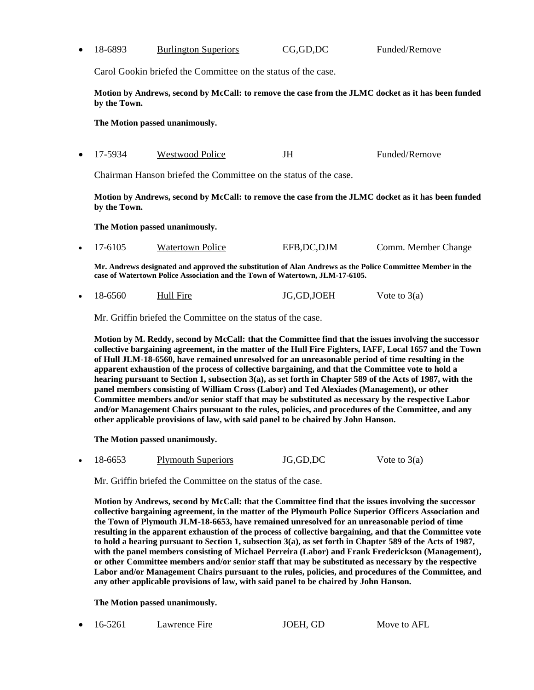|                                                                                                                    | 18-6893                                                          | <b>Burlington Superiors</b> | CG, GD, DC | Funded/Remove |  |  |  |
|--------------------------------------------------------------------------------------------------------------------|------------------------------------------------------------------|-----------------------------|------------|---------------|--|--|--|
|                                                                                                                    | Carol Gookin briefed the Committee on the status of the case.    |                             |            |               |  |  |  |
| Motion by Andrews, second by McCall: to remove the case from the JLMC docket as it has been funded<br>by the Town. |                                                                  |                             |            |               |  |  |  |
|                                                                                                                    | The Motion passed unanimously.                                   |                             |            |               |  |  |  |
| $\bullet$                                                                                                          | 17-5934                                                          | Westwood Police             | JH         | Funded/Remove |  |  |  |
|                                                                                                                    | Chairman Hanson briefed the Committee on the status of the case. |                             |            |               |  |  |  |
| Motion by Andrews, second by McCall: to remove the case from the JLMC docket as it has been funded<br>by the Town. |                                                                  |                             |            |               |  |  |  |

**The Motion passed unanimously.**

17-6105 Watertown Police EFB,DC,DJM Comm. Member Change

**Mr. Andrews designated and approved the substitution of Alan Andrews as the Police Committee Member in the case of Watertown Police Association and the Town of Watertown, JLM-17-6105.** 

18-6560 Hull Fire JG,GD,JOEH Vote to 3(a)

Mr. Griffin briefed the Committee on the status of the case.

**Motion by M. Reddy, second by McCall: that the Committee find that the issues involving the successor collective bargaining agreement, in the matter of the Hull Fire Fighters, IAFF, Local 1657 and the Town of Hull JLM-18-6560, have remained unresolved for an unreasonable period of time resulting in the apparent exhaustion of the process of collective bargaining, and that the Committee vote to hold a hearing pursuant to Section 1, subsection 3(a), as set forth in Chapter 589 of the Acts of 1987, with the panel members consisting of William Cross (Labor) and Ted Alexiades (Management), or other Committee members and/or senior staff that may be substituted as necessary by the respective Labor and/or Management Chairs pursuant to the rules, policies, and procedures of the Committee, and any other applicable provisions of law, with said panel to be chaired by John Hanson.**

**The Motion passed unanimously.**

18-6653 Plymouth Superiors JG,GD,DC Vote to 3(a)

Mr. Griffin briefed the Committee on the status of the case.

**Motion by Andrews, second by McCall: that the Committee find that the issues involving the successor collective bargaining agreement, in the matter of the Plymouth Police Superior Officers Association and the Town of Plymouth JLM-18-6653, have remained unresolved for an unreasonable period of time resulting in the apparent exhaustion of the process of collective bargaining, and that the Committee vote to hold a hearing pursuant to Section 1, subsection 3(a), as set forth in Chapter 589 of the Acts of 1987, with the panel members consisting of Michael Perreira (Labor) and Frank Frederickson (Management), or other Committee members and/or senior staff that may be substituted as necessary by the respective Labor and/or Management Chairs pursuant to the rules, policies, and procedures of the Committee, and any other applicable provisions of law, with said panel to be chaired by John Hanson.**

**The Motion passed unanimously.**

16-5261 Lawrence Fire JOEH, GD Move to AFL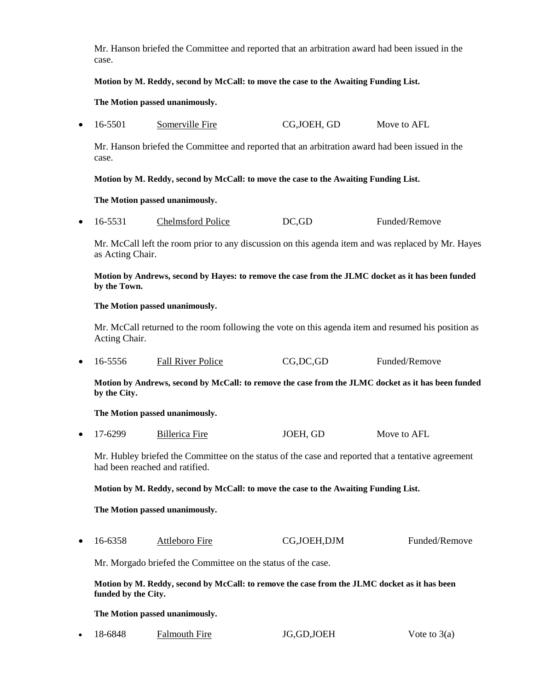Mr. Hanson briefed the Committee and reported that an arbitration award had been issued in the case.

## **Motion by M. Reddy, second by McCall: to move the case to the Awaiting Funding List.**

## **The Motion passed unanimously.**

• 16-5501 Somerville Fire CG, JOEH, GD Move to AFL

Mr. Hanson briefed the Committee and reported that an arbitration award had been issued in the case.

## **Motion by M. Reddy, second by McCall: to move the case to the Awaiting Funding List.**

## **The Motion passed unanimously.**

16-5531 Chelmsford Police DC,GD Funded/Remove

Mr. McCall left the room prior to any discussion on this agenda item and was replaced by Mr. Hayes as Acting Chair.

## **Motion by Andrews, second by Hayes: to remove the case from the JLMC docket as it has been funded by the Town.**

## **The Motion passed unanimously.**

Mr. McCall returned to the room following the vote on this agenda item and resumed his position as Acting Chair.

• 16-5556 Fall River Police CG,DC,GD Funded/Remove

**Motion by Andrews, second by McCall: to remove the case from the JLMC docket as it has been funded by the City.**

## **The Motion passed unanimously.**

• 17-6299 Billerica Fire JOEH, GD Move to AFL

Mr. Hubley briefed the Committee on the status of the case and reported that a tentative agreement had been reached and ratified.

## **Motion by M. Reddy, second by McCall: to move the case to the Awaiting Funding List.**

## **The Motion passed unanimously.**

16-6358 Attleboro Fire CG,JOEH,DJM Funded/Remove

Mr. Morgado briefed the Committee on the status of the case.

**Motion by M. Reddy, second by McCall: to remove the case from the JLMC docket as it has been funded by the City.**

## **The Motion passed unanimously.**

18-6848 Falmouth Fire JG,GD,JOEH Vote to 3(a)